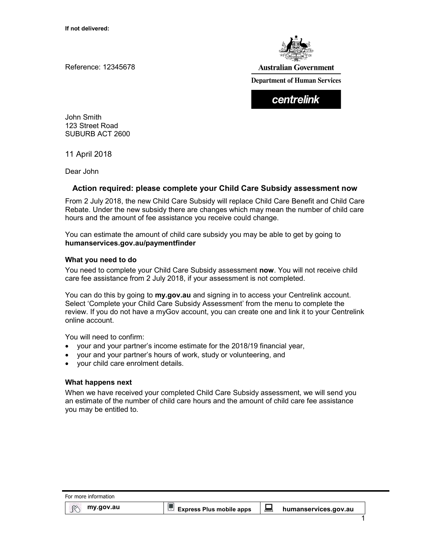Reference: 12345678



**Australian Government** 

**Department of Human Services** 

centrelink

John Smith 123 Street Road SUBURB ACT 2600

11 April 2018

Dear John

# Action required: please complete your Child Care Subsidy assessment now

From 2 July 2018, the new Child Care Subsidy will replace Child Care Benefit and Child Care Rebate. Under the new subsidy there are changes which may mean the number of child care hours and the amount of fee assistance you receive could change.

You can estimate the amount of child care subsidy you may be able to get by going to humanservices.gov.au/paymentfinder

## What you need to do

You need to complete your Child Care Subsidy assessment now. You will not receive child care fee assistance from 2 July 2018, if your assessment is not completed.

You can do this by going to **my.gov.au** and signing in to access your Centrelink account. Select 'Complete your Child Care Subsidy Assessment' from the menu to complete the review. If you do not have a myGov account, you can create one and link it to your Centrelink online account.

You will need to confirm:

- your and your partner's income estimate for the 2018/19 financial year,
- your and your partner's hours of work, study or volunteering, and
- your child care enrolment details.

## What happens next

When we have received your completed Child Care Subsidy assessment, we will send you an estimate of the number of child care hours and the amount of child care fee assistance you may be entitled to.

| For more information |                                 |        |                      |
|----------------------|---------------------------------|--------|----------------------|
| my.gov.au            | <b>Express Plus mobile apps</b> | Anna ( | humanservices.gov.au |
|                      |                                 |        |                      |